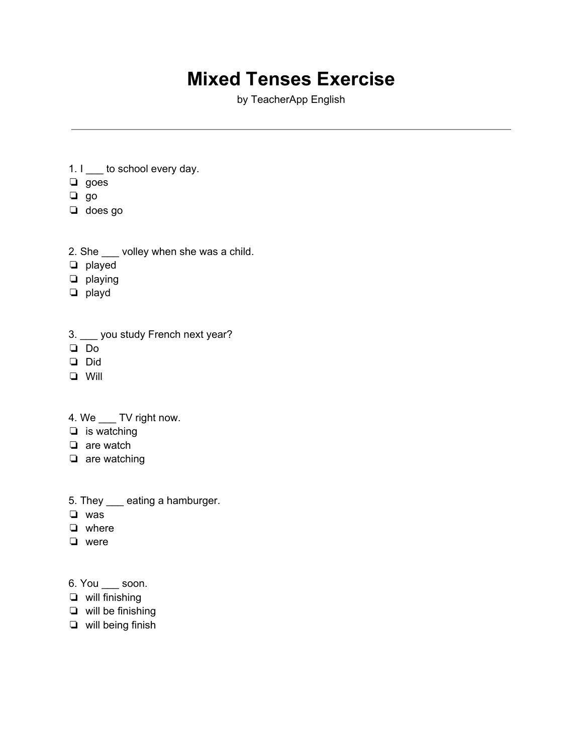## **Mixed Tenses Exercise**

by TeacherApp English

- 1. I to school every day.
- ❏ goes
- ❏ go
- ❏ does go
- 2. She \_\_\_ volley when she was a child.
- ❏ played
- ❏ playing
- ❏ playd
- 3. \_\_\_ you study French next year?
- ❏ Do
- ❏ Did
- ❏ Will

## 4. We \_\_\_ TV right now.

- ❏ is watching
- ❏ are watch
- ❏ are watching
- 5. They \_\_\_ eating a hamburger.
- ❏ was
- ❏ where
- ❏ were
- 6. You \_\_\_ soon.
- ❏ will finishing
- ❏ will be finishing
- ❏ will being finish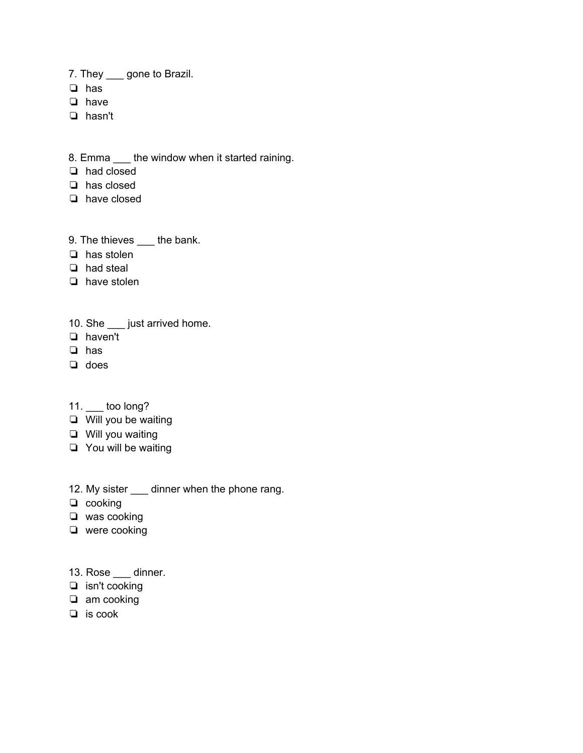7. They \_\_\_ gone to Brazil.

- ❏ has
- ❏ have
- ❏ hasn't

8. Emma the window when it started raining.

- ❏ had closed
- ❏ has closed
- ❏ have closed
- 9. The thieves \_\_\_ the bank.
- ❏ has stolen
- ❏ had steal
- ❏ have stolen
- 10. She \_\_\_ just arrived home.
- ❏ haven't
- ❏ has
- ❏ does
- 11. \_\_\_ too long?
- ❏ Will you be waiting
- ❏ Will you waiting
- ❏ You will be waiting
- 12. My sister \_\_\_ dinner when the phone rang.
- ❏ cooking
- ❏ was cooking
- ❏ were cooking
- 13. Rose \_\_\_ dinner.
- ❏ isn't cooking
- ❏ am cooking
- ❏ is cook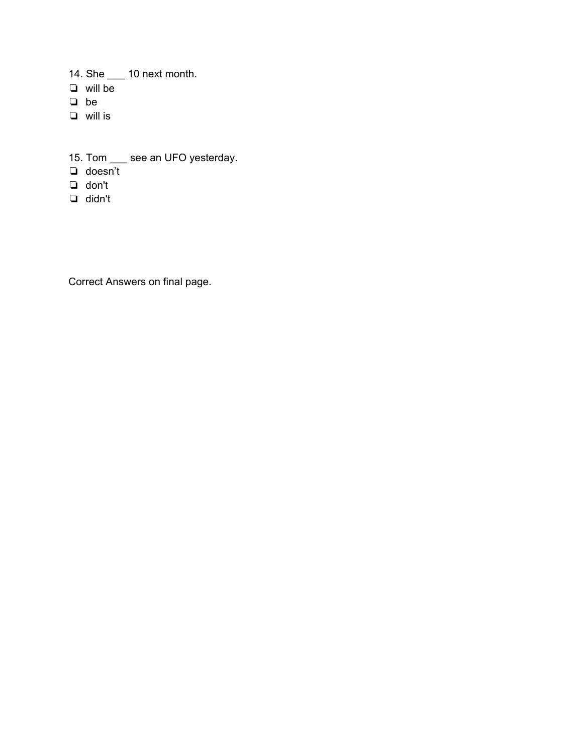14. She \_\_\_ 10 next month.

- ❏ will be
- ❏ be
- ❏ will is
- 15. Tom \_\_\_ see an UFO yesterday.
- ❏ doesn't
- ❏ don't
- ❏ didn't

Correct Answers on final page.